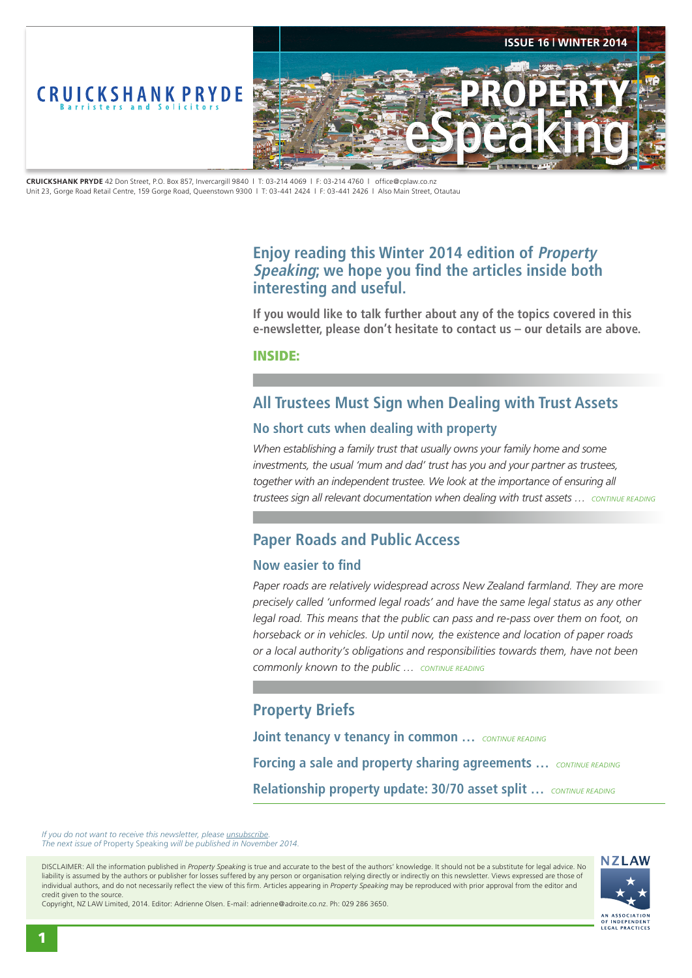<span id="page-0-0"></span>

**CRUICKSHANK PRYDE** 42 Don Street, P.O. Box 857, Invercargill 9840 | T: 03-214 4069 | F: 03-214 4760 | office@cplaw.co.nz Unit 23, Gorge Road Retail Centre, 159 Gorge Road, Queenstown 9300 | T: 03-441 2424 | F: 03-441 2426 | Also Main Street, Otautau

## **Enjoy reading this Winter 2014 edition of Property Speaking; we hope you find the articles inside both interesting and useful.**

**If you would like to talk further about any of the topics covered in this e-newsletter, please don't hesitate to contact us – our details are above.**

INSIDE:

# **All Trustees Must Sign when Dealing with Trust Assets**

### **No short cuts when dealing with property**

When establishing a family trust that usually owns your family home and some *investments, the usual 'mum and dad' trust has you and your partner as trustees,*  together with an independent trustee. We look at the importance of ensuring all *trustees sign all relevant documentation when dealing with trust assets … [CONTINUE READING](#page-1-0)*

## **Paper Roads and Public Access**

## **Now easier to find**

*Paper roads are relatively widespread across New Zealand farmland. They are more precisely called 'unformed legal roads' and have the same legal status as any other*  legal road. This means that the public can pass and re-pass over them on foot, on *horseback or in vehicles. Up until now, the existence and location of paper roads or a local authority's obligations and responsibilities towards them, have not been commonly known to the public … [CONTINUE READING](#page-2-0)*

## **Property Briefs**

**Joint tenancy v tenancy in common …** *[CONTINUE READING](#page-3-0)* **Forcing a sale and property sharing agreements …** *[CONTINUE READING](#page-3-0)* **Relationship property update: 30/70 asset split …** *[CONTINUE READING](#page-3-0)*

*If you do not want to receive this newsletter, please unsubscribe The next issue of* Property Speaking *will be published in November 2014.* 

DISCLAIMER: All the information published in *Property Speaking* is true and accurate to the best of the authors' knowledge. It should not be a substitute for legal advice. No liability is assumed by the authors or publisher for losses suffered by any person or organisation relying directly or indirectly on this newsletter. Views expressed are those of individual authors, and do not necessarily reflect the view of this firm. Articles appearing in *Property Speaking* may be reproduced with prior approval from the editor and credit given to the source.

Copyright, NZ LAW Limited, 2014. Editor: Adrienne Olsen. [E-mail: adrienne@adroite.co.nz](mailto:adrienne@adroite.co.nz). Ph: 029 286 3650.

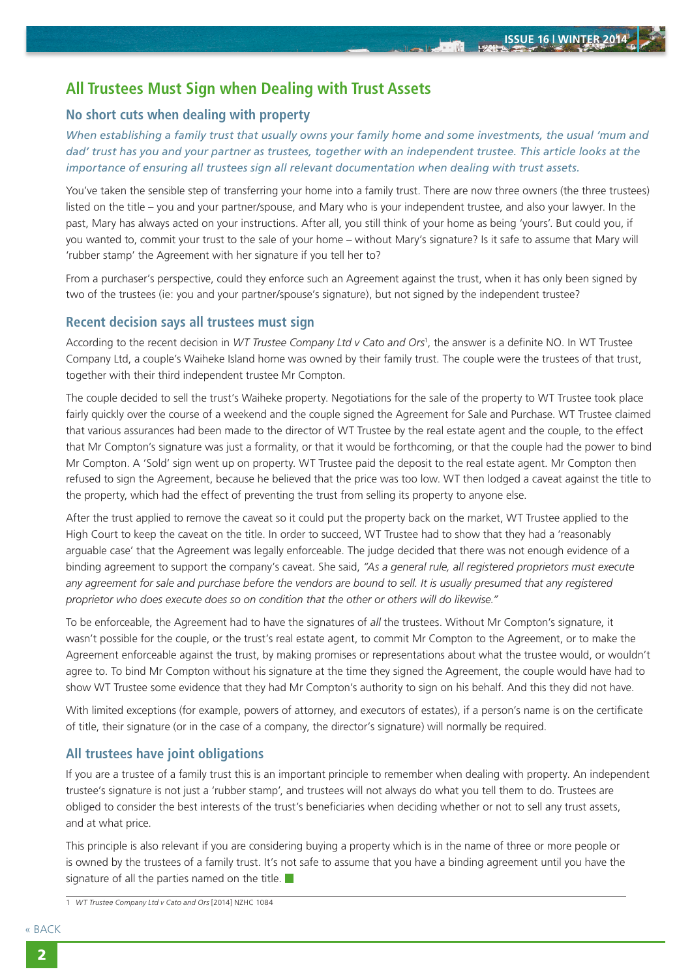## <span id="page-1-0"></span>**All Trustees Must Sign when Dealing with Trust Assets**

## **No short cuts when dealing with property**

*When establishing a family trust that usually owns your family home and some investments, the usual 'mum and dad' trust has you and your partner as trustees, together with an independent trustee. This article looks at the importance of ensuring all trustees sign all relevant documentation when dealing with trust assets.*

You've taken the sensible step of transferring your home into a family trust. There are now three owners (the three trustees) listed on the title – you and your partner/spouse, and Mary who is your independent trustee, and also your lawyer. In the past, Mary has always acted on your instructions. After all, you still think of your home as being 'yours'. But could you, if you wanted to, commit your trust to the sale of your home – without Mary's signature? Is it safe to assume that Mary will 'rubber stamp' the Agreement with her signature if you tell her to?

From a purchaser's perspective, could they enforce such an Agreement against the trust, when it has only been signed by two of the trustees (ie: you and your partner/spouse's signature), but not signed by the independent trustee?

#### **Recent decision says all trustees must sign**

According to the recent decision in *WT Trustee Company Ltd v Cato and Ors*<sup>1</sup> , the answer is a definite NO. In WT Trustee Company Ltd, a couple's Waiheke Island home was owned by their family trust. The couple were the trustees of that trust, together with their third independent trustee Mr Compton.

The couple decided to sell the trust's Waiheke property. Negotiations for the sale of the property to WT Trustee took place fairly quickly over the course of a weekend and the couple signed the Agreement for Sale and Purchase. WT Trustee claimed that various assurances had been made to the director of WT Trustee by the real estate agent and the couple, to the effect that Mr Compton's signature was just a formality, or that it would be forthcoming, or that the couple had the power to bind Mr Compton. A 'Sold' sign went up on property. WT Trustee paid the deposit to the real estate agent. Mr Compton then refused to sign the Agreement, because he believed that the price was too low. WT then lodged a caveat against the title to the property, which had the effect of preventing the trust from selling its property to anyone else.

After the trust applied to remove the caveat so it could put the property back on the market, WT Trustee applied to the High Court to keep the caveat on the title. In order to succeed, WT Trustee had to show that they had a 'reasonably arguable case' that the Agreement was legally enforceable. The judge decided that there was not enough evidence of a binding agreement to support the company's caveat. She said, *"As a general rule, all registered proprietors must execute*  any agreement for sale and purchase before the vendors are bound to sell. It is usually presumed that any registered *proprietor who does execute does so on condition that the other or others will do likewise."*

To be enforceable, the Agreement had to have the signatures of *all* the trustees. Without Mr Compton's signature, it wasn't possible for the couple, or the trust's real estate agent, to commit Mr Compton to the Agreement, or to make the Agreement enforceable against the trust, by making promises or representations about what the trustee would, or wouldn't agree to. To bind Mr Compton without his signature at the time they signed the Agreement, the couple would have had to show WT Trustee some evidence that they had Mr Compton's authority to sign on his behalf. And this they did not have.

With limited exceptions (for example, powers of attorney, and executors of estates), if a person's name is on the certificate of title, their signature (or in the case of a company, the director's signature) will normally be required.

#### **All trustees have joint obligations**

If you are a trustee of a family trust this is an important principle to remember when dealing with property. An independent trustee's signature is not just a 'rubber stamp', and trustees will not always do what you tell them to do. Trustees are obliged to consider the best interests of the trust's beneficiaries when deciding whether or not to sell any trust assets, and at what price.

This principle is also relevant if you are considering buying a property which is in the name of three or more people or is owned by the trustees of a family trust. It's not safe to assume that you have a binding agreement until you have the signature of all the parties named on the title.  $\blacksquare$ 

<sup>1</sup> *WT Trustee Company Ltd v Cato and Ors* [2014] NZHC 1084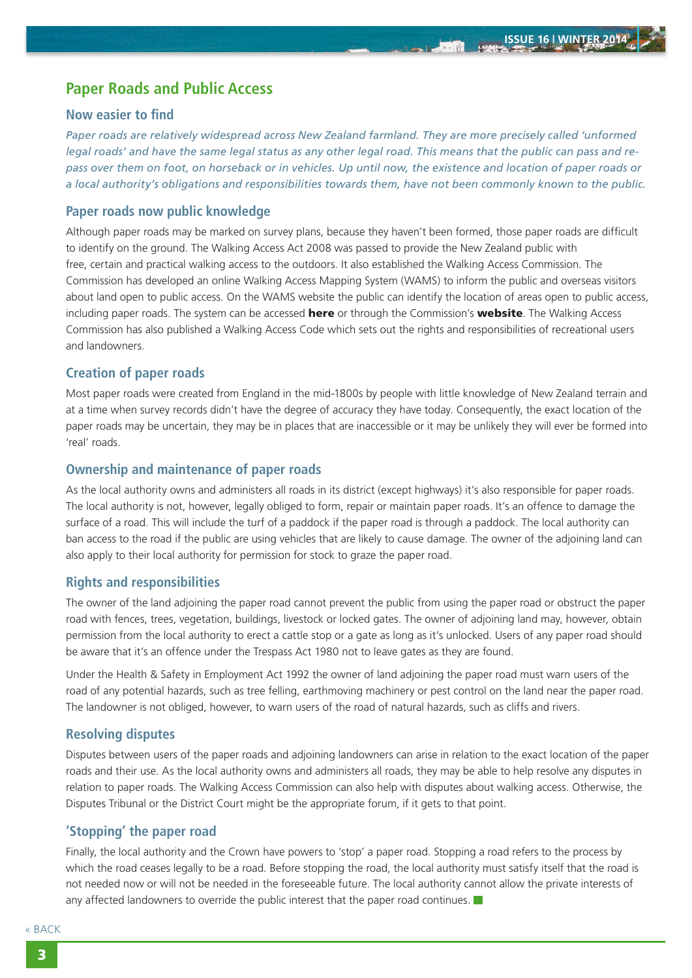## <span id="page-2-0"></span>**Paper Roads and Public Access**

#### **Now easier to find**

*Paper roads are relatively widespread across New Zealand farmland. They are more precisely called 'unformed legal roads' and have the same legal status as any other legal road. This means that the public can pass and repass over them on foot, on horseback or in vehicles. Up until now, the existence and location of paper roads or a local authority's obligations and responsibilities towards them, have not been commonly known to the public.*

#### **Paper roads now public knowledge**

Although paper roads may be marked on survey plans, because they haven't been formed, those paper roads are difficult to identify on the ground. The Walking Access Act 2008 was passed to provide the New Zealand public with free, certain and practical walking access to the outdoors. It also established the Walking Access Commission. The Commission has developed an online Walking Access Mapping System (WAMS) to inform the public and overseas visitors about land open to public access. On the WAMS website the public can identify the location of areas open to public access, including paper roads. The system can be accessed **[here](http://www.wams.org.nz)** or through the Commission's **[website](http://www.walkingaccess.govt.nz)**. The Walking Access Commission has also published a Walking Access Code which sets out the rights and responsibilities of recreational users and landowners.

## **Creation of paper roads**

Most paper roads were created from England in the mid-1800s by people with little knowledge of New Zealand terrain and at a time when survey records didn't have the degree of accuracy they have today. Consequently, the exact location of the paper roads may be uncertain, they may be in places that are inaccessible or it may be unlikely they will ever be formed into 'real' roads.

## **Ownership and maintenance of paper roads**

As the local authority owns and administers all roads in its district (except highways) it's also responsible for paper roads. The local authority is not, however, legally obliged to form, repair or maintain paper roads. It's an offence to damage the surface of a road. This will include the turf of a paddock if the paper road is through a paddock. The local authority can ban access to the road if the public are using vehicles that are likely to cause damage. The owner of the adjoining land can also apply to their local authority for permission for stock to graze the paper road.

## **Rights and responsibilities**

The owner of the land adjoining the paper road cannot prevent the public from using the paper road or obstruct the paper road with fences, trees, vegetation, buildings, livestock or locked gates. The owner of adjoining land may, however, obtain permission from the local authority to erect a cattle stop or a gate as long as it's unlocked. Users of any paper road should be aware that it's an offence under the Trespass Act 1980 not to leave gates as they are found.

Under the Health & Safety in Employment Act 1992 the owner of land adjoining the paper road must warn users of the road of any potential hazards, such as tree felling, earthmoving machinery or pest control on the land near the paper road. The landowner is not obliged, however, to warn users of the road of natural hazards, such as cliffs and rivers.

## **Resolving disputes**

Disputes between users of the paper roads and adjoining landowners can arise in relation to the exact location of the paper roads and their use. As the local authority owns and administers all roads, they may be able to help resolve any disputes in relation to paper roads. The Walking Access Commission can also help with disputes about walking access. Otherwise, the Disputes Tribunal or the District Court might be the appropriate forum, if it gets to that point.

## **'Stopping' the paper road**

Finally, the local authority and the Crown have powers to 'stop' a paper road. Stopping a road refers to the process by which the road ceases legally to be a road. Before stopping the road, the local authority must satisfy itself that the road is not needed now or will not be needed in the foreseeable future. The local authority cannot allow the private interests of any affected landowners to override the public interest that the paper road continues.  $\blacksquare$